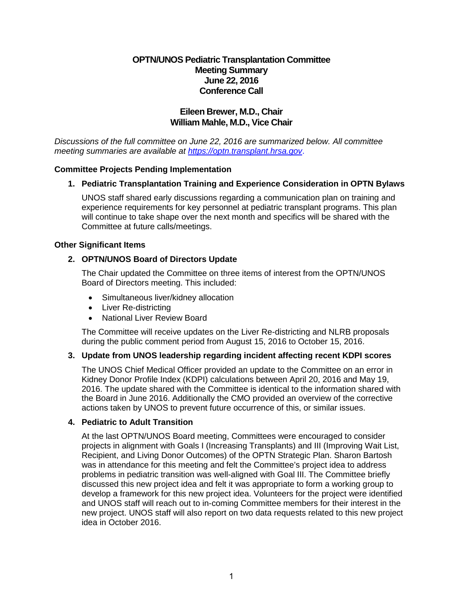## **OPTN/UNOS Pediatric Transplantation Committee Meeting Summary June 22, 2016 Conference Call**

# **Eileen Brewer, M.D., Chair William Mahle, M.D., Vice Chair**

*Discussions of the full committee on June 22, 2016 are summarized below. All committee meeting summaries are available at [https://optn.transplant.hrsa.gov](https://optn.transplant.hrsa.gov/)*.

## **Committee Projects Pending Implementation**

## **1. Pediatric Transplantation Training and Experience Consideration in OPTN Bylaws**

UNOS staff shared early discussions regarding a communication plan on training and experience requirements for key personnel at pediatric transplant programs. This plan will continue to take shape over the next month and specifics will be shared with the Committee at future calls/meetings.

### **Other Significant Items**

### **2. OPTN/UNOS Board of Directors Update**

The Chair updated the Committee on three items of interest from the OPTN/UNOS Board of Directors meeting. This included:

- Simultaneous liver/kidney allocation
- Liver Re-districting
- National Liver Review Board

The Committee will receive updates on the Liver Re-districting and NLRB proposals during the public comment period from August 15, 2016 to October 15, 2016.

## **3. Update from UNOS leadership regarding incident affecting recent KDPI scores**

The UNOS Chief Medical Officer provided an update to the Committee on an error in Kidney Donor Profile Index (KDPI) calculations between April 20, 2016 and May 19, 2016. The update shared with the Committee is identical to the information shared with the Board in June 2016. Additionally the CMO provided an overview of the corrective actions taken by UNOS to prevent future occurrence of this, or similar issues.

#### **4. Pediatric to Adult Transition**

At the last OPTN/UNOS Board meeting, Committees were encouraged to consider projects in alignment with Goals I (Increasing Transplants) and III (Improving Wait List, Recipient, and Living Donor Outcomes) of the OPTN Strategic Plan. Sharon Bartosh was in attendance for this meeting and felt the Committee's project idea to address problems in pediatric transition was well-aligned with Goal III. The Committee briefly discussed this new project idea and felt it was appropriate to form a working group to develop a framework for this new project idea. Volunteers for the project were identified and UNOS staff will reach out to in-coming Committee members for their interest in the new project. UNOS staff will also report on two data requests related to this new project idea in October 2016.